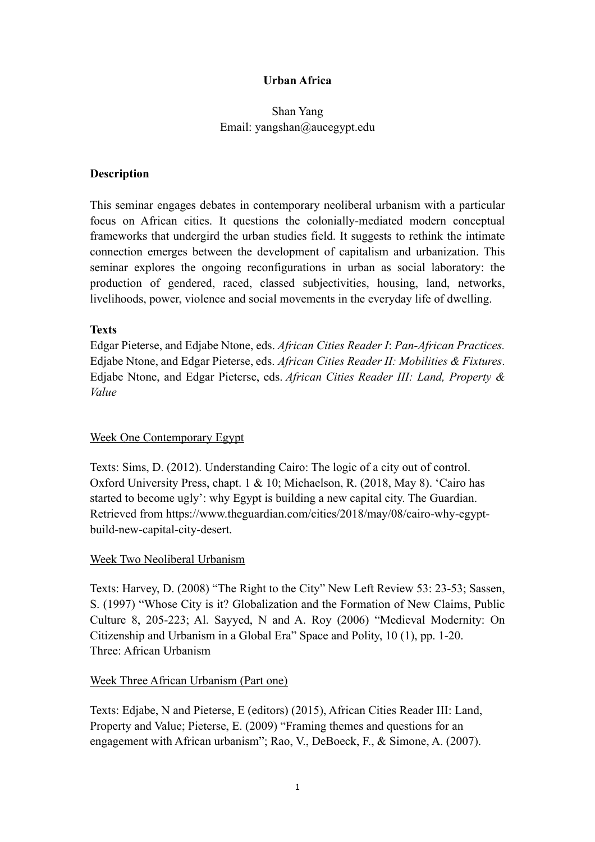# **Urban Africa**

# Shan Yang Email: yangshan@aucegypt.edu

#### **Description**

This seminar engages debates in contemporary neoliberal urbanism with a particular focus on African cities. It questions the colonially-mediated modern conceptual frameworks that undergird the urban studies field. It suggests to rethink the intimate connection emerges between the development of capitalism and urbanization. This seminar explores the ongoing reconfigurations in urban as social laboratory: the production of gendered, raced, classed subjectivities, housing, land, networks, livelihoods, power, violence and social movements in the everyday life of dwelling.

#### **Texts**

Edgar Pieterse, and Edjabe Ntone, eds. *African Cities Reader I*: *Pan-African Practices.* Edjabe Ntone, and Edgar Pieterse, eds. *African Cities Reader II: Mobilities & Fixtures*. Edjabe Ntone, and Edgar Pieterse, eds. *African Cities Reader III: Land, Property & Value*

# Week One Contemporary Egypt

Texts: Sims, D. (2012). Understanding Cairo: The logic of a city out of control. Oxford University Press, chapt. 1 & 10; Michaelson, R. (2018, May 8). 'Cairo has started to become ugly': why Egypt is building a new capital city. The Guardian. Retrieved from https://www.theguardian.com/cities/2018/may/08/cairo-why-egyptbuild-new-capital-city-desert.

#### Week Two Neoliberal Urbanism

Texts: Harvey, D. (2008) "The Right to the City" New Left Review 53: 23-53; Sassen, S. (1997) "Whose City is it? Globalization and the Formation of New Claims, Public Culture 8, 205-223; Al. Sayyed, N and A. Roy (2006) "Medieval Modernity: On Citizenship and Urbanism in a Global Era" Space and Polity, 10 (1), pp. 1-20. Three: African Urbanism

#### Week Three African Urbanism (Part one)

Texts: Edjabe, N and Pieterse, E (editors) (2015), African Cities Reader III: Land, Property and Value; Pieterse, E. (2009) "Framing themes and questions for an engagement with African urbanism"; Rao, V., DeBoeck, F., & Simone, A. (2007).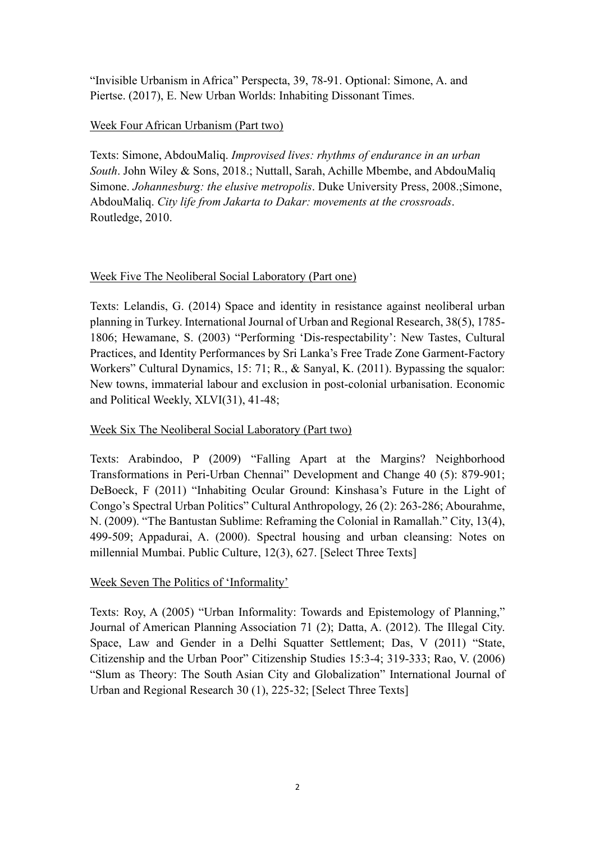"Invisible Urbanism in Africa" Perspecta, 39, 78-91. Optional: Simone, A. and Piertse. (2017), E. New Urban Worlds: Inhabiting Dissonant Times.

# Week Four African Urbanism (Part two)

Texts: Simone, AbdouMaliq. *Improvised lives: rhythms of endurance in an urban South*. John Wiley & Sons, 2018.; Nuttall, Sarah, Achille Mbembe, and AbdouMaliq Simone. *Johannesburg: the elusive metropolis*. Duke University Press, 2008.;Simone, AbdouMaliq. *City life from Jakarta to Dakar: movements at the crossroads*. Routledge, 2010.

# Week Five The Neoliberal Social Laboratory (Part one)

Texts: Lelandis, G. (2014) Space and identity in resistance against neoliberal urban planning in Turkey. International Journal of Urban and Regional Research, 38(5), 1785- 1806; Hewamane, S. (2003) "Performing 'Dis-respectability': New Tastes, Cultural Practices, and Identity Performances by Sri Lanka's Free Trade Zone Garment-Factory Workers" Cultural Dynamics, 15: 71; R., & Sanyal, K. (2011). Bypassing the squalor: New towns, immaterial labour and exclusion in post-colonial urbanisation. Economic and Political Weekly, XLVI(31), 41-48;

# Week Six The Neoliberal Social Laboratory (Part two)

Texts: Arabindoo, P (2009) "Falling Apart at the Margins? Neighborhood Transformations in Peri-Urban Chennai" Development and Change 40 (5): 879-901; DeBoeck, F (2011) "Inhabiting Ocular Ground: Kinshasa's Future in the Light of Congo's Spectral Urban Politics" Cultural Anthropology, 26 (2): 263-286; Abourahme, N. (2009). "The Bantustan Sublime: Reframing the Colonial in Ramallah." City, 13(4), 499-509; Appadurai, A. (2000). Spectral housing and urban cleansing: Notes on millennial Mumbai. Public Culture, 12(3), 627. [Select Three Texts]

# Week Seven The Politics of 'Informality'

Texts: Roy, A (2005) "Urban Informality: Towards and Epistemology of Planning," Journal of American Planning Association 71 (2); Datta, A. (2012). The Illegal City. Space, Law and Gender in a Delhi Squatter Settlement; Das, V (2011) "State, Citizenship and the Urban Poor" Citizenship Studies 15:3-4; 319-333; Rao, V. (2006) "Slum as Theory: The South Asian City and Globalization" International Journal of Urban and Regional Research 30 (1), 225-32; [Select Three Texts]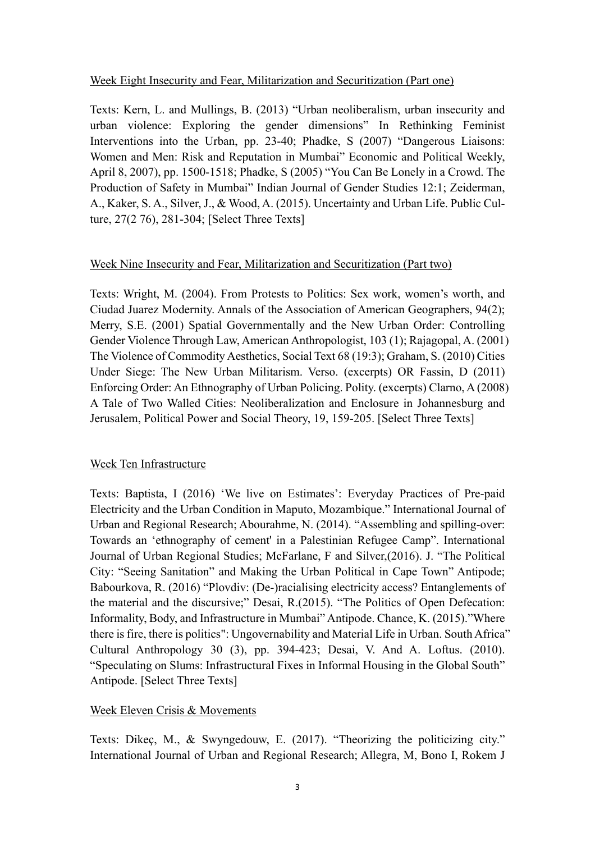#### Week Eight Insecurity and Fear, Militarization and Securitization (Part one)

Texts: Kern, L. and Mullings, B. (2013) "Urban neoliberalism, urban insecurity and urban violence: Exploring the gender dimensions" In Rethinking Feminist Interventions into the Urban, pp. 23-40; Phadke, S (2007) "Dangerous Liaisons: Women and Men: Risk and Reputation in Mumbai" Economic and Political Weekly, April 8, 2007), pp. 1500-1518; Phadke, S (2005) "You Can Be Lonely in a Crowd. The Production of Safety in Mumbai" Indian Journal of Gender Studies 12:1; Zeiderman, A., Kaker, S. A., Silver, J., & Wood, A. (2015). Uncertainty and Urban Life. Public Culture, 27(2 76), 281-304; [Select Three Texts]

# Week Nine Insecurity and Fear, Militarization and Securitization (Part two)

Texts: Wright, M. (2004). From Protests to Politics: Sex work, women's worth, and Ciudad Juarez Modernity. Annals of the Association of American Geographers, 94(2); Merry, S.E. (2001) Spatial Governmentally and the New Urban Order: Controlling Gender Violence Through Law, American Anthropologist, 103 (1); Rajagopal, A. (2001) The Violence of Commodity Aesthetics, Social Text 68 (19:3); Graham, S. (2010) Cities Under Siege: The New Urban Militarism. Verso. (excerpts) OR Fassin, D (2011) Enforcing Order: An Ethnography of Urban Policing. Polity. (excerpts) Clarno, A (2008) A Tale of Two Walled Cities: Neoliberalization and Enclosure in Johannesburg and Jerusalem, Political Power and Social Theory, 19, 159-205. [Select Three Texts]

# Week Ten Infrastructure

Texts: Baptista, I (2016) 'We live on Estimates': Everyday Practices of Pre-paid Electricity and the Urban Condition in Maputo, Mozambique." International Journal of Urban and Regional Research; Abourahme, N. (2014). "Assembling and spilling-over: Towards an 'ethnography of cement' in a Palestinian Refugee Camp". International Journal of Urban Regional Studies; McFarlane, F and Silver,(2016). J. "The Political City: "Seeing Sanitation" and Making the Urban Political in Cape Town" Antipode; Babourkova, R. (2016) "Plovdiv: (De-)racialising electricity access? Entanglements of the material and the discursive;" Desai, R.(2015). "The Politics of Open Defecation: Informality, Body, and Infrastructure in Mumbai" Antipode. Chance, K. (2015)."Where there is fire, there is politics": Ungovernability and Material Life in Urban. South Africa" Cultural Anthropology 30 (3), pp. 394-423; Desai, V. And A. Loftus. (2010). "Speculating on Slums: Infrastructural Fixes in Informal Housing in the Global South" Antipode. [Select Three Texts]

# Week Eleven Crisis & Movements

Texts: Dikeç, M., & Swyngedouw, E. (2017). "Theorizing the politicizing city." International Journal of Urban and Regional Research; Allegra, M, Bono I, Rokem J